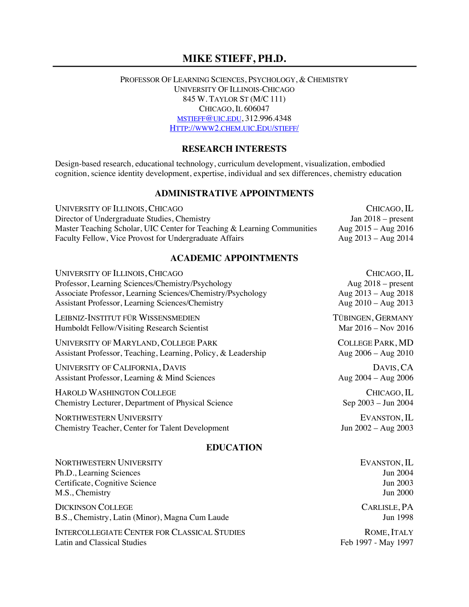# **MIKE STIEFF, PH.D.**

#### PROFESSOR OF LEARNING SCIENCES, PSYCHOLOGY, & CHEMISTRY UNIVERSITY OF ILLINOIS-CHICAGO 845 W. TAYLOR ST (M/C 111) CHICAGO, IL 606047 MSTIEFF@UIC.EDU, 312.996.4348 HTTP://WWW2.CHEM.UIC.EDU/STIEFF/

#### **RESEARCH INTERESTS**

Design-based research, educational technology, curriculum development, visualization, embodied cognition, science identity development, expertise, individual and sex differences, chemistry education

#### **ADMINISTRATIVE APPOINTMENTS**

UNIVERSITY OF ILLINOIS, CHICAGO CHICAGO, IL Director of Undergraduate Studies, Chemistry<br>Master Teaching Scholar, UIC Center for Teaching & Learning Communities Aug 2015 – Aug 2016 Master Teaching Scholar, UIC Center for Teaching & Learning Communities Aug 2015 – Aug 2016<br>Faculty Fellow, Vice Provost for Undergraduate Affairs Aug 2013 – Aug 2014 Faculty Fellow, Vice Provost for Undergraduate Affairs

### **ACADEMIC APPOINTMENTS**

| UNIVERSITY OF ILLINOIS, CHICAGO                               | CHICAGO, IL             |
|---------------------------------------------------------------|-------------------------|
| Professor, Learning Sciences/Chemistry/Psychology             | Aug $2018$ – present    |
| Associate Professor, Learning Sciences/Chemistry/Psychology   | Aug $2013 - Aug 2018$   |
| Assistant Professor, Learning Sciences/Chemistry              | Aug $2010 - Aug 2013$   |
| LEIBNIZ-INSTITUT FÜR WISSENSMEDIEN                            | TÜBINGEN, GERMANY       |
| Humboldt Fellow/Visiting Research Scientist                   | Mar 2016 – Nov 2016     |
| UNIVERSITY OF MARYLAND, COLLEGE PARK                          | <b>COLLEGE PARK, MD</b> |
| Assistant Professor, Teaching, Learning, Policy, & Leadership | Aug $2006 - Aug 2010$   |
| UNIVERSITY OF CALIFORNIA, DAVIS                               | DAVIS, CA               |
| Assistant Professor, Learning & Mind Sciences                 | Aug $2004 - Aug 2006$   |
| <b>HAROLD WASHINGTON COLLEGE</b>                              | CHICAGO, IL             |
| <b>Chemistry Lecturer, Department of Physical Science</b>     | Sep 2003 – Jun 2004     |
| <b>NORTHWESTERN UNIVERSITY</b>                                | EVANSTON, IL            |
| <b>Chemistry Teacher, Center for Talent Development</b>       | Jun $2002 - Aug 2003$   |

#### **EDUCATION**

| EVANSTON, IL    |
|-----------------|
| <b>Jun 2004</b> |
| <b>Jun 2003</b> |
| <b>Jun 2000</b> |
| CARLISLE, PA    |
| <b>Jun 1998</b> |
|                 |

INTERCOLLEGIATE CENTER FOR CLASSICAL STUDIES ROME. ITALY Latin and Classical Studies Feb 1997 - May 1997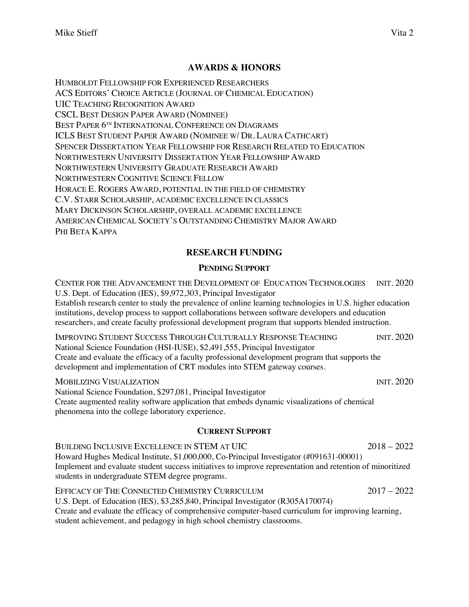# **AWARDS & HONORS**

HUMBOLDT FELLOWSHIP FOR EXPERIENCED RESEARCHERS ACS EDITORS' CHOICE ARTICLE (JOURNAL OF CHEMICAL EDUCATION) UIC TEACHING RECOGNITION AWARD CSCL BEST DESIGN PAPER AWARD (NOMINEE) BEST PAPER 6<sup>TH</sup> INTERNATIONAL CONFERENCE ON DIAGRAMS ICLS BEST STUDENT PAPER AWARD (NOMINEE W/ DR. LAURA CATHCART) SPENCER DISSERTATION YEAR FELLOWSHIP FOR RESEARCH RELATED TO EDUCATION NORTHWESTERN UNIVERSITY DISSERTATION YEAR FELLOWSHIP AWARD NORTHWESTERN UNIVERSITY GRADUATE RESEARCH AWARD NORTHWESTERN COGNITIVE SCIENCE FELLOW HORACE E. ROGERS AWARD, POTENTIAL IN THE FIELD OF CHEMISTRY C.V. STARR SCHOLARSHIP, ACADEMIC EXCELLENCE IN CLASSICS MARY DICKINSON SCHOLARSHIP, OVERALL ACADEMIC EXCELLENCE AMERICAN CHEMICAL SOCIETY'S OUTSTANDING CHEMISTRY MAJOR AWARD PHI BETA KAPPA

# **RESEARCH FUNDING**

## **PENDING SUPPORT**

CENTER FOR THE ADVANCEMENT THE DEVELOPMENT OF EDUCATION TECHNOLOGIES INIT. 2020 U.S. Dept. of Education (IES), \$9,972,303, Principal Investigator Establish research center to study the prevalence of online learning technologies in U.S. higher education institutions, develop process to support collaborations between software developers and education researchers, and create faculty professional development program that supports blended instruction.

IMPROVING STUDENT SUCCESS THROUGH CULTURALLY RESPONSE TEACHING INIT. 2020 National Science Foundation (HSI-IUSE), \$2,491,555, Principal Investigator Create and evaluate the efficacy of a faculty professional development program that supports the development and implementation of CRT modules into STEM gateway courses.

MOBILIZING VISUALIZATION INIT. 2020 National Science Foundation, \$297,081, Principal Investigator Create augmented reality software application that embeds dynamic visualizations of chemical phenomena into the college laboratory experience.

## **CURRENT SUPPORT**

BUILDING INCLUSIVE EXCELLENCE IN STEM AT UIC 2018 – 2022 Howard Hughes Medical Institute, \$1,000,000, Co-Principal Investigator (#091631-00001) Implement and evaluate student success initiatives to improve representation and retention of minoritized students in undergraduate STEM degree programs.

EFFICACY OF THE CONNECTED CHEMISTRY CURRICULUM 2017 – 2022 U.S. Dept. of Education (IES), \$3,285,840, Principal Investigator (R305A170074) Create and evaluate the efficacy of comprehensive computer-based curriculum for improving learning, student achievement, and pedagogy in high school chemistry classrooms.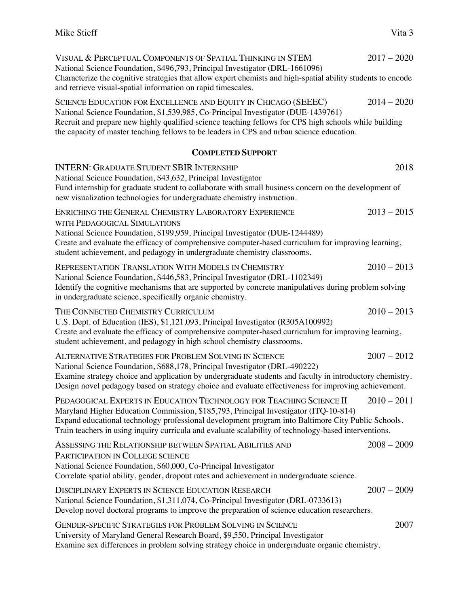| VISUAL & PERCEPTUAL COMPONENTS OF SPATIAL THINKING IN STEM<br>National Science Foundation, \$496,793, Principal Investigator (DRL-1661096)<br>Characterize the cognitive strategies that allow expert chemists and high-spatial ability students to encode<br>and retrieve visual-spatial information on rapid timescales.                                                 | $2017 - 2020$ |
|----------------------------------------------------------------------------------------------------------------------------------------------------------------------------------------------------------------------------------------------------------------------------------------------------------------------------------------------------------------------------|---------------|
| SCIENCE EDUCATION FOR EXCELLENCE AND EQUITY IN CHICAGO (SEEEC)<br>National Science Foundation, \$1,539,985, Co-Principal Investigator (DUE-1439761)<br>Recruit and prepare new highly qualified science teaching fellows for CPS high schools while building<br>the capacity of master teaching fellows to be leaders in CPS and urban science education.                  | $2014 - 2020$ |
| <b>COMPLETED SUPPORT</b>                                                                                                                                                                                                                                                                                                                                                   |               |
| <b>INTERN: GRADUATE STUDENT SBIR INTERNSHIP</b><br>National Science Foundation, \$43,632, Principal Investigator<br>Fund internship for graduate student to collaborate with small business concern on the development of<br>new visualization technologies for undergraduate chemistry instruction.                                                                       | 2018          |
| ENRICHING THE GENERAL CHEMISTRY LABORATORY EXPERIENCE<br>WITH PEDAGOGICAL SIMULATIONS<br>National Science Foundation, \$199,959, Principal Investigator (DUE-1244489)<br>Create and evaluate the efficacy of comprehensive computer-based curriculum for improving learning,<br>student achievement, and pedagogy in undergraduate chemistry classrooms.                   | $2013 - 2015$ |
| REPRESENTATION TRANSLATION WITH MODELS IN CHEMISTRY<br>National Science Foundation, \$446,583, Principal Investigator (DRL-1102349)<br>Identify the cognitive mechanisms that are supported by concrete manipulatives during problem solving<br>in undergraduate science, specifically organic chemistry.                                                                  | $2010 - 2013$ |
| THE CONNECTED CHEMISTRY CURRICULUM<br>U.S. Dept. of Education (IES), \$1,121,093, Principal Investigator (R305A100992)<br>Create and evaluate the efficacy of comprehensive computer-based curriculum for improving learning,<br>student achievement, and pedagogy in high school chemistry classrooms.                                                                    | $2010 - 2013$ |
| ALTERNATIVE STRATEGIES FOR PROBLEM SOLVING IN SCIENCE<br>National Science Foundation, \$688,178, Principal Investigator (DRL-490222)<br>Examine strategy choice and application by undergraduate students and faculty in introductory chemistry.<br>Design novel pedagogy based on strategy choice and evaluate effectiveness for improving achievement.                   | $2007 - 2012$ |
| PEDAGOGICAL EXPERTS IN EDUCATION TECHNOLOGY FOR TEACHING SCIENCE II<br>Maryland Higher Education Commission, \$185,793, Principal Investigator (ITQ-10-814)<br>Expand educational technology professional development program into Baltimore City Public Schools.<br>Train teachers in using inquiry curricula and evaluate scalability of technology-based interventions. | $2010 - 2011$ |
| ASSESSING THE RELATIONSHIP BETWEEN SPATIAL ABILITIES AND<br>PARTICIPATION IN COLLEGE SCIENCE<br>National Science Foundation, \$60,000, Co-Principal Investigator<br>Correlate spatial ability, gender, dropout rates and achievement in undergraduate science.                                                                                                             | $2008 - 2009$ |
| DISCIPLINARY EXPERTS IN SCIENCE EDUCATION RESEARCH<br>National Science Foundation, \$1,311,074, Co-Principal Investigator (DRL-0733613)<br>Develop novel doctoral programs to improve the preparation of science education researchers.                                                                                                                                    | $2007 - 2009$ |
| GENDER-SPECIFIC STRATEGIES FOR PROBLEM SOLVING IN SCIENCE<br>University of Maryland General Research Board, \$9,550, Principal Investigator<br>Examine sex differences in problem solving strategy choice in undergraduate organic chemistry.                                                                                                                              | 2007          |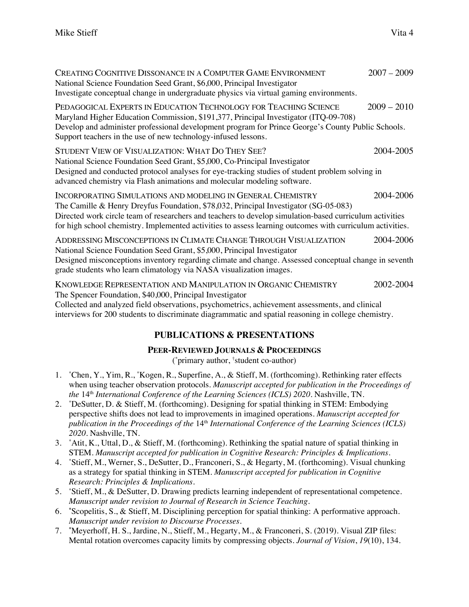| CREATING COGNITIVE DISSONANCE IN A COMPUTER GAME ENVIRONMENT<br>National Science Foundation Seed Grant, \$6,000, Principal Investigator<br>Investigate conceptual change in undergraduate physics via virtual gaming environments.                                                                                                                                          | $2007 - 2009$ |
|-----------------------------------------------------------------------------------------------------------------------------------------------------------------------------------------------------------------------------------------------------------------------------------------------------------------------------------------------------------------------------|---------------|
| PEDAGOGICAL EXPERTS IN EDUCATION TECHNOLOGY FOR TEACHING SCIENCE<br>Maryland Higher Education Commission, \$191,377, Principal Investigator (ITQ-09-708)<br>Develop and administer professional development program for Prince George's County Public Schools.<br>Support teachers in the use of new technology-infused lessons.                                            | $2009 - 2010$ |
| STUDENT VIEW OF VISUALIZATION: WHAT DO THEY SEE?<br>National Science Foundation Seed Grant, \$5,000, Co-Principal Investigator<br>Designed and conducted protocol analyses for eye-tracking studies of student problem solving in<br>advanced chemistry via Flash animations and molecular modeling software.                                                               | 2004-2005     |
| INCORPORATING SIMULATIONS AND MODELING IN GENERAL CHEMISTRY<br>The Camille & Henry Dreyfus Foundation, \$78,032, Principal Investigator (SG-05-083)<br>Directed work circle team of researchers and teachers to develop simulation-based curriculum activities<br>for high school chemistry. Implemented activities to assess learning outcomes with curriculum activities. | 2004-2006     |
| ADDRESSING MISCONCEPTIONS IN CLIMATE CHANGE THROUGH VISUALIZATION<br>National Science Foundation Seed Grant, \$5,000, Principal Investigator<br>Designed misconceptions inventory regarding climate and change. Assessed conceptual change in seventh<br>grade students who learn climatology via NASA visualization images.                                                | 2004-2006     |
| KNOWLEDGE REPRESENTATION AND MANIPULATION IN ORGANIC CHEMISTRY<br>The Spencer Foundation, \$40,000, Principal Investigator<br>$\alpha$ . The contract the state of $x$ . The characteristic contracted by a statement of contraction of a state $t$                                                                                                                         | 2002-2004     |

Collected and analyzed field observations, psychometrics, achievement assessments, and clinical interviews for 200 students to discriminate diagrammatic and spatial reasoning in college chemistry.

# **PUBLICATIONS & PRESENTATIONS**

# **PEER-REVIEWED JOURNALS & PROCEEDINGS**

(\* primary author, † student co-author)

- 1. \* Chen, Y., Yim, R., \* Kogen, R., Superfine, A., & Stieff, M. (forthcoming). Rethinking rater effects when using teacher observation protocols. *Manuscript accepted for publication in the Proceedings of the* 14th *International Conference of the Learning Sciences (ICLS) 2020.* Nashville, TN.
- 2. \* DeSutter, D. & Stieff, M. (forthcoming). Designing for spatial thinking in STEM: Embodying perspective shifts does not lead to improvements in imagined operations. *Manuscript accepted for publication in the Proceedings of the* 14th *International Conference of the Learning Sciences (ICLS) 2020.* Nashville, TN.
- 3. \* Atit, K., Uttal, D., & Stieff, M. (forthcoming). Rethinking the spatial nature of spatial thinking in STEM. *Manuscript accepted for publication in Cognitive Research: Principles & Implications.*
- 4. \* Stieff, M., Werner, S., DeSutter, D., Franconeri, S., & Hegarty, M. (forthcoming). Visual chunking as a strategy for spatial thinking in STEM. *Manuscript accepted for publication in Cognitive Research: Principles & Implications.*
- 5. \* Stieff, M., & DeSutter, D. Drawing predicts learning independent of representational competence. *Manuscript under revision to Journal of Research in Science Teaching.*
- 6. **\*** Scopelitis, S., & Stieff, M. Disciplining perception for spatial thinking: A performative approach. *Manuscript under revision to Discourse Processes.*
- 7. **\*** Meyerhoff, H. S., Jardine, N., Stieff, M., Hegarty, M., & Franconeri, S. (2019). Visual ZIP files: Mental rotation overcomes capacity limits by compressing objects. *Journal of Vision*, *19*(10), 134.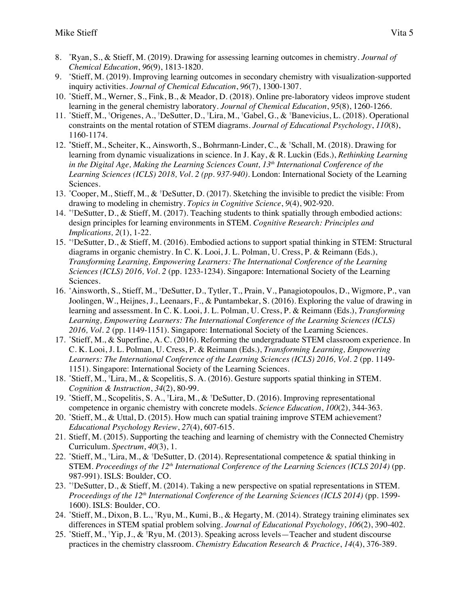- 8. \* Ryan, S., & Stieff, M. (2019). Drawing for assessing learning outcomes in chemistry. *Journal of Chemical Education*, *96*(9), 1813-1820.
- 9. \* Stieff, M. (2019). Improving learning outcomes in secondary chemistry with visualization-supported inquiry activities. *Journal of Chemical Education*, *96*(7), 1300-1307.
- 10. \* Stieff, M., Werner, S., Fink, B., & Meador, D. (2018). Online pre-laboratory videos improve student learning in the general chemistry laboratory*. Journal of Chemical Education*, *95*(8), 1260-1266.
- 11. \* Stieff, M., † Origenes, A., † DeSutter, D., † Lira, M., † Gabel, G., & † Banevicius, L. (2018). Operational constraints on the mental rotation of STEM diagrams. *Journal of Educational Psychology*, *110*(8), 1160-1174*.*
- 12. **\*** Stieff, M., Scheiter, K., Ainsworth, S., Bohrmann-Linder, C., & † Schall, M. (2018). Drawing for learning from dynamic visualizations in science. In J. Kay, & R. Luckin (Eds.), *Rethinking Learning in the Digital Age, Making the Learning Sciences Count, 13th International Conference of the Learning Sciences (ICLS) 2018, Vol. 2 (pp. 937-940).* London: International Society of the Learning Sciences.
- 13. \* Cooper, M., Stieff, M., & † DeSutter, D. (2017). Sketching the invisible to predict the visible: From drawing to modeling in chemistry. *Topics in Cognitive Science*, *9*(4), 902-920.
- 14. \*†DeSutter, D., & Stieff, M. (2017). Teaching students to think spatially through embodied actions: design principles for learning environments in STEM. *Cognitive Research: Principles and Implications, 2*(1), 1-22.
- 15. \*† DeSutter, D., & Stieff, M. (2016). Embodied actions to support spatial thinking in STEM: Structural diagrams in organic chemistry. In C. K. Looi, J. L. Polman, U. Cress, P. & Reimann (Eds.), *Transforming Learning, Empowering Learners: The International Conference of the Learning Sciences (ICLS) 2016, Vol. 2* (pp. 1233-1234). Singapore: International Society of the Learning Sciences.
- 16. \* Ainsworth, S., Stieff, M., † DeSutter, D., Tytler, T., Prain, V., Panagiotopoulos, D., Wigmore, P., van Joolingen, W., Heijnes, J., Leenaars, F., & Puntambekar, S. (2016). Exploring the value of drawing in learning and assessment. In C. K. Looi, J. L. Polman, U. Cress, P. & Reimann (Eds.), *Transforming Learning, Empowering Learners: The International Conference of the Learning Sciences (ICLS)*  2016, *Vol.* 2 (pp. 1149-1151). Singapore: International Society of the Learning Sciences.
- 17. \* Stieff, M., & Superfine, A. C. (2016). Reforming the undergraduate STEM classroom experience. In C. K. Looi, J. L. Polman, U. Cress, P. & Reimann (Eds.), *Transforming Learning, Empowering Learners: The International Conference of the Learning Sciences (ICLS) 2016, Vol. 2* (pp. 1149- 1151). Singapore: International Society of the Learning Sciences.
- 18. \* Stieff, M., † Lira, M., & Scopelitis, S. A. (2016). Gesture supports spatial thinking in STEM. *Cognition & Instruction*, *34*(2), 80-99*.*
- 19. \* Stieff, M., Scopelitis, S. A., † Lira, M., & † DeSutter, D. (2016). Improving representational competence in organic chemistry with concrete models. *Science Education*, *100*(2), 344-363*.*
- 20. \* Stieff, M., & Uttal, D. (2015). How much can spatial training improve STEM achievement? *Educational Psychology Review*, *27*(4), 607-615.
- 21. Stieff, M. (2015). Supporting the teaching and learning of chemistry with the Connected Chemistry Curriculum. *Spectrum*, *40*(3), 1.
- 22. \*Stieff, M., <sup>†</sup>Lira, M., & †DeSutter, D. (2014). Representational competence & spatial thinking in STEM. *Proceedings of the 12th International Conference of the Learning Sciences (ICLS 2014)* (pp. 987-991). ISLS: Boulder, CO.
- 23. \*† DeSutter, D., & Stieff, M. (2014). Taking a new perspective on spatial representations in STEM. *Proceedings of the 12th International Conference of the Learning Sciences (ICLS 2014)* (pp. 1599- 1600). ISLS: Boulder, CO.
- 24. \* Stieff, M., Dixon, B. L., † Ryu, M., Kumi, B., & Hegarty, M. (2014). Strategy training eliminates sex differences in STEM spatial problem solving. *Journal of Educational Psychology*, *106*(2), 390-402.
- 25. \* Stieff, M., † Yip, J., & † Ryu, M. (2013). Speaking across levels—Teacher and student discourse practices in the chemistry classroom. *Chemistry Education Research & Practice*, *14*(4), 376-389.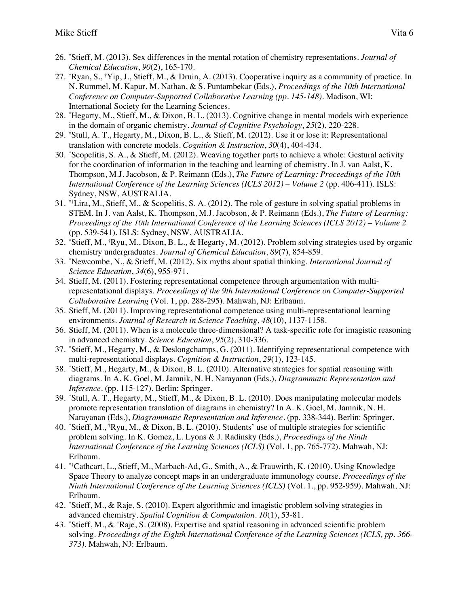- 26. \* Stieff, M. (2013). Sex differences in the mental rotation of chemistry representations. *Journal of Chemical Education*, *90*(2), 165-170.
- 27. \* Ryan, S., † Yip, J., Stieff, M., & Druin, A. (2013). Cooperative inquiry as a community of practice. In N. Rummel, M. Kapur, M. Nathan, & S. Puntambekar (Eds.), *Proceedings of the 10th International Conference on Computer-Supported Collaborative Learning (pp. 145-148)*. Madison, WI: International Society for the Learning Sciences.
- 28. \* Hegarty, M., Stieff, M., & Dixon, B. L. (2013). Cognitive change in mental models with experience in the domain of organic chemistry*. Journal of Cognitive Psychology*, *25*(2), 220-228.
- 29. \* Stull, A. T., Hegarty, M., Dixon, B. L., & Stieff, M. (2012). Use it or lose it: Representational translation with concrete models*. Cognition & Instruction*, *30*(4), 404-434.
- 30. \* Scopelitis, S. A., & Stieff, M. (2012). Weaving together parts to achieve a whole: Gestural activity for the coordination of information in the teaching and learning of chemistry. In J. van Aalst, K. Thompson, M.J. Jacobson, & P. Reimann (Eds.), *The Future of Learning: Proceedings of the 10th International Conference of the Learning Sciences (ICLS 2012) – Volume 2* (pp. 406-411). ISLS: Sydney, NSW, AUSTRALIA.
- 31. \*† Lira, M., Stieff, M., & Scopelitis, S. A. (2012). The role of gesture in solving spatial problems in STEM. In J. van Aalst, K. Thompson, M.J. Jacobson, & P. Reimann (Eds.), *The Future of Learning: Proceedings of the 10th International Conference of the Learning Sciences (ICLS 2012) – Volume 2*  (pp. 539-541). ISLS: Sydney, NSW, AUSTRALIA.
- 32. \* Stieff, M., † Ryu, M., Dixon, B. L., & Hegarty, M. (2012). Problem solving strategies used by organic chemistry undergraduates. *Journal of Chemical Education*, *89*(7), 854-859.
- 33. \* Newcombe, N., & Stieff, M. (2012). Six myths about spatial thinking. *International Journal of Science Education*, *34*(6), 955-971.
- 34. Stieff, M. (2011). Fostering representational competence through argumentation with multirepresentational displays. *Proceedings of the 9th International Conference on Computer-Supported Collaborative Learning* (Vol. 1, pp. 288-295). Mahwah, NJ: Erlbaum.
- 35. Stieff, M. (2011). Improving representational competence using multi-representational learning environments. *Journal of Research in Science Teaching*, *48*(10), 1137-1158.
- 36. Stieff, M. (2011). When is a molecule three-dimensional? A task-specific role for imagistic reasoning in advanced chemistry. *Science Education*, *95*(2), 310-336.
- 37. \* Stieff, M., Hegarty, M., & Deslongchamps, G. (2011). Identifying representational competence with multi-representational displays. *Cognition & Instruction*, *29*(1), 123-145.
- 38. \* Stieff, M., Hegarty, M., & Dixon, B. L. (2010). Alternative strategies for spatial reasoning with diagrams. In A. K. Goel, M. Jamnik, N. H. Narayanan (Eds.), *Diagrammatic Representation and Inference*. (pp. 115-127). Berlin: Springer.
- 39. \* Stull, A. T., Hegarty, M., Stieff, M., & Dixon, B. L. (2010). Does manipulating molecular models promote representation translation of diagrams in chemistry? In A. K. Goel, M. Jamnik, N. H. Narayanan (Eds.), *Diagrammatic Representation and Inference*. (pp. 338-344). Berlin: Springer.
- 40. \* Stieff, M., † Ryu, M., & Dixon, B. L. (2010). Students' use of multiple strategies for scientific problem solving. In K. Gomez, L. Lyons & J. Radinsky (Eds.), *Proceedings of the Ninth International Conference of the Learning Sciences (ICLS)* (Vol. 1, pp. 765-772). Mahwah, NJ: Erlbaum.
- 41. \*† Cathcart, L., Stieff, M., Marbach-Ad, G., Smith, A., & Frauwirth, K. (2010). Using Knowledge Space Theory to analyze concept maps in an undergraduate immunology course. *Proceedings of the Ninth International Conference of the Learning Sciences (ICLS)* (Vol. 1., pp. 952-959). Mahwah, NJ: Erlbaum.
- 42. \* Stieff, M., & Raje, S. (2010). Expert algorithmic and imagistic problem solving strategies in advanced chemistry. *Spatial Cognition & Computation*. *10*(1), 53-81.
- 43. \* Stieff, M., & † Raje, S. (2008). Expertise and spatial reasoning in advanced scientific problem solving. *Proceedings of the Eighth International Conference of the Learning Sciences (ICLS, pp. 366- 373)*. Mahwah, NJ: Erlbaum.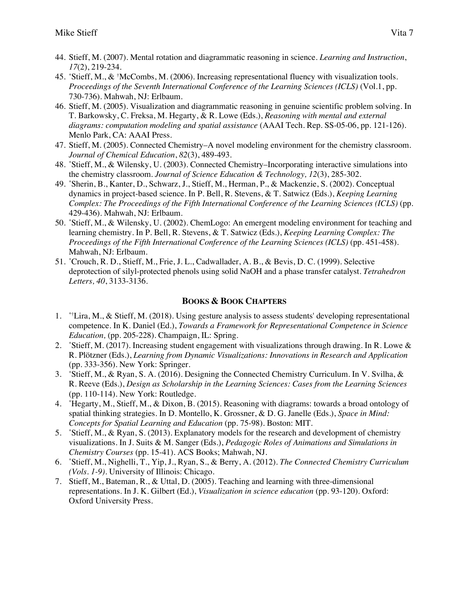- 44. Stieff, M. (2007). Mental rotation and diagrammatic reasoning in science. *Learning and Instruction*, *17*(2), 219-234.
- 45. \* Stieff, M., & † McCombs, M. (2006). Increasing representational fluency with visualization tools. *Proceedings of the Seventh International Conference of the Learning Sciences (ICLS)* (Vol.1, pp. 730-736). Mahwah, NJ: Erlbaum.
- 46. Stieff, M. (2005). Visualization and diagrammatic reasoning in genuine scientific problem solving*.* In T. Barkowsky, C. Freksa, M. Hegarty, & R. Lowe (Eds.), *Reasoning with mental and external diagrams: computation modeling and spatial assistance* (AAAI Tech. Rep. SS-05-06, pp. 121-126). Menlo Park, CA: AAAI Press.
- 47. Stieff, M. (2005). Connected Chemistry–A novel modeling environment for the chemistry classroom. *Journal of Chemical Education*, *82*(3), 489-493.
- 48. \* Stieff, M., & Wilensky, U. (2003). Connected Chemistry–Incorporating interactive simulations into the chemistry classroom. *Journal of Science Education & Technology, 12*(3), 285-302.
- 49. \* Sherin, B., Kanter, D., Schwarz, J., Stieff, M., Herman, P., & Mackenzie, S. (2002). Conceptual dynamics in project-based science. In P. Bell, R. Stevens, & T. Satwicz (Eds.), *Keeping Learning Complex: The Proceedings of the Fifth International Conference of the Learning Sciences (ICLS)* (pp. 429-436). Mahwah, NJ: Erlbaum.
- 50. \* Stieff, M., & Wilensky, U. (2002). ChemLogo: An emergent modeling environment for teaching and learning chemistry. In P. Bell, R. Stevens, & T. Satwicz (Eds.), *Keeping Learning Complex: The Proceedings of the Fifth International Conference of the Learning Sciences (ICLS)* (pp. 451-458). Mahwah, NJ: Erlbaum.
- 51. \* Crouch, R. D., Stieff, M., Frie, J. L., Cadwallader, A. B., & Bevis, D. C. (1999). Selective deprotection of silyl-protected phenols using solid NaOH and a phase transfer catalyst. *Tetrahedron Letters, 40*, 3133-3136.

#### **BOOKS & BOOK CHAPTERS**

- 1. \*† Lira, M., & Stieff, M. (2018). Using gesture analysis to assess students' developing representational competence. In K. Daniel (Ed.), *Towards a Framework for Representational Competence in Science Education,* (pp. 205-228)*.* Champaign, IL: Spring.
- 2. \* Stieff, M. (2017). Increasing student engagement with visualizations through drawing. In R. Lowe & R. Plötzner (Eds.), *Learning from Dynamic Visualizations: Innovations in Research and Application* (pp. 333-356). New York: Springer.
- 3. \* Stieff, M., & Ryan, S. A. (2016). Designing the Connected Chemistry Curriculum. In V. Svilha, & R. Reeve (Eds.), *Design as Scholarship in the Learning Sciences: Cases from the Learning Sciences* (pp. 110-114)*.* New York: Routledge.
- 4. \* Hegarty, M., Stieff, M., & Dixon, B. (2015). Reasoning with diagrams: towards a broad ontology of spatial thinking strategies. In D. Montello, K. Grossner, & D. G. Janelle (Eds.), *Space in Mind: Concepts for Spatial Learning and Education* (pp. 75-98). Boston: MIT.
- 5. \* Stieff, M., & Ryan, S. (2013). Explanatory models for the research and development of chemistry visualizations. In J. Suits & M. Sanger (Eds.), *Pedagogic Roles of Animations and Simulations in Chemistry Courses* (pp. 15-41). ACS Books; Mahwah, NJ.
- 6. \* Stieff, M., Nighelli, T., Yip, J., Ryan, S., & Berry, A. (2012). *The Connected Chemistry Curriculum (Vols. 1-9)*. University of Illinois: Chicago.
- 7. Stieff, M., Bateman, R., & Uttal, D. (2005). Teaching and learning with three-dimensional representations. In J. K. Gilbert (Ed.), *Visualization in science education* (pp. 93-120). Oxford: Oxford University Press.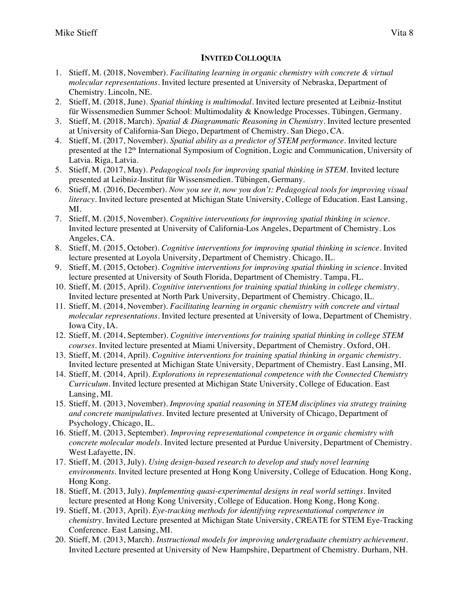# **INVITED COLLOQUIA**

- 1. Stieff, M. (2018, November). *Facilitating learning in organic chemistry with concrete & virtual molecular representations.* Invited lecture presented at University of Nebraska, Department of Chemistry. Lincoln, NE.
- 2. Stieff, M. (2018, June). *Spatial thinking is multimodal.* Invited lecture presented at Leibniz-Institut für Wissensmedien Summer School: Multimodality & Knowledge Processes. Tübingen, Germany.
- 3. Stieff, M. (2018, March). *Spatial & Diagrammatic Reasoning in Chemistry.* Invited lecture presented at University of California-San Diego, Department of Chemistry. San Diego, CA.
- 4. Stieff, M. (2017, November). *Spatial ability as a predictor of STEM performance.* Invited lecture presented at the 12th International Symposium of Cognition, Logic and Communication, University of Latvia. Riga, Latvia.
- 5. Stieff, M. (2017, May). *Pedagogical tools for improving spatial thinking in STEM.* Invited lecture presented at Leibniz-Institut für Wissensmedien. Tübingen, Germany.
- 6. Stieff, M. (2016, December). *Now you see it, now you don't: Pedagogical tools for improving visual literacy.* Invited lecture presented at Michigan State University, College of Education. East Lansing, MI.
- 7. Stieff, M. (2015, November). *Cognitive interventions for improving spatial thinking in science*. Invited lecture presented at University of California-Los Angeles, Department of Chemistry. Los Angeles, CA.
- 8. Stieff, M. (2015, October). *Cognitive interventions for improving spatial thinking in science*. Invited lecture presented at Loyola University, Department of Chemistry. Chicago, IL.
- 9. Stieff, M. (2015, October). *Cognitive interventions for improving spatial thinking in science.* Invited lecture presented at University of South Florida, Department of Chemistry. Tampa, FL.
- 10. Stieff, M. (2015, April). *Cognitive interventions for training spatial thinking in college chemistry*. Invited lecture presented at North Park University, Department of Chemistry. Chicago, IL.
- 11. Stieff, M. (2014, November). *Facilitating learning in organic chemistry with concrete and virtual molecular representations*. Invited lecture presented at University of Iowa, Department of Chemistry. Iowa City, IA.
- 12. Stieff, M. (2014, September). *Cognitive interventions for training spatial thinking in college STEM courses*. Invited lecture presented at Miami University, Department of Chemistry. Oxford, OH.
- 13. Stieff, M. (2014, April). *Cognitive interventions for training spatial thinking in organic chemistry*. Invited lecture presented at Michigan State University, Department of Chemistry. East Lansing, MI.
- 14. Stieff, M. (2014, April). *Explorations in representational competence with the Connected Chemistry Curriculum*. Invited lecture presented at Michigan State University, College of Education. East Lansing, MI.
- 15. Stieff, M. (2013, November). *Improving spatial reasoning in STEM disciplines via strategy training and concrete manipulatives*. Invited lecture presented at University of Chicago, Department of Psychology, Chicago, IL.
- 16. Stieff, M. (2013, September). *Improving representational competence in organic chemistry with concrete molecular models.* Invited lecture presented at Purdue University, Department of Chemistry. West Lafayette, IN.
- 17. Stieff, M. (2013, July). *Using design-based research to develop and study novel learning environments.* Invited lecture presented at Hong Kong University, College of Education. Hong Kong, Hong Kong.
- 18. Stieff, M. (2013, July). *Implementing quasi-experimental designs in real world settings.* Invited lecture presented at Hong Kong University, College of Education. Hong Kong, Hong Kong.
- 19. Stieff, M. (2013, April). *Eye-tracking methods for identifying representational competence in chemistry.* Invited Lecture presented at Michigan State University, CREATE for STEM Eye-Tracking Conference. East Lansing, MI.
- 20. Stieff, M. (2013, March). *Instructional models for improving undergraduate chemistry achievement.*  Invited Lecture presented at University of New Hampshire, Department of Chemistry. Durham, NH.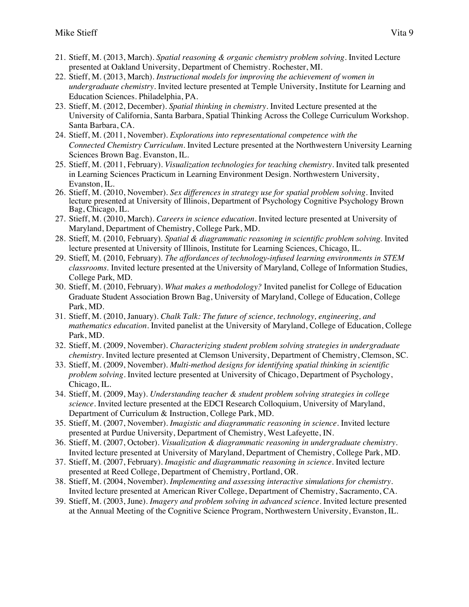- 21. Stieff, M. (2013, March). *Spatial reasoning & organic chemistry problem solving*. Invited Lecture presented at Oakland University, Department of Chemistry. Rochester, MI.
- 22. Stieff, M. (2013, March). *Instructional models for improving the achievement of women in undergraduate chemistry*. Invited lecture presented at Temple University, Institute for Learning and Education Sciences. Philadelphia, PA.
- 23. Stieff, M. (2012, December). *Spatial thinking in chemistry.* Invited Lecture presented at the University of California, Santa Barbara, Spatial Thinking Across the College Curriculum Workshop. Santa Barbara, CA.
- 24. Stieff, M. (2011, November). *Explorations into representational competence with the Connected Chemistry Curriculum*. Invited Lecture presented at the Northwestern University Learning Sciences Brown Bag. Evanston, IL.
- 25. Stieff, M. (2011, February). *Visualization technologies for teaching chemistry*. Invited talk presented in Learning Sciences Practicum in Learning Environment Design. Northwestern University, Evanston, IL.
- 26. Stieff, M. (2010, November). *Sex differences in strategy use for spatial problem solving*. Invited lecture presented at University of Illinois, Department of Psychology Cognitive Psychology Brown Bag, Chicago, IL.
- 27. Stieff, M. (2010, March). *Careers in science education*. Invited lecture presented at University of Maryland, Department of Chemistry, College Park, MD.
- 28. Stieff, M. (2010, February). *Spatial & diagrammatic reasoning in scientific problem solving*. Invited lecture presented at University of Illinois, Institute for Learning Sciences, Chicago, IL.
- 29. Stieff, M. (2010, February). *The affordances of technology-infused learning environments in STEM classrooms*. Invited lecture presented at the University of Maryland, College of Information Studies, College Park, MD.
- 30. Stieff, M. (2010, February). *What makes a methodology?* Invited panelist for College of Education Graduate Student Association Brown Bag, University of Maryland, College of Education, College Park, MD.
- 31. Stieff, M. (2010, January). *Chalk Talk: The future of science, technology, engineering, and mathematics education*. Invited panelist at the University of Maryland, College of Education, College Park, MD.
- 32. Stieff, M. (2009, November). *Characterizing student problem solving strategies in undergraduate chemistry*. Invited lecture presented at Clemson University, Department of Chemistry, Clemson, SC.
- 33. Stieff, M. (2009, November). *Multi-method designs for identifying spatial thinking in scientific problem solving*. Invited lecture presented at University of Chicago, Department of Psychology, Chicago, IL.
- 34. Stieff, M. (2009, May). *Understanding teacher & student problem solving strategies in college science*. Invited lecture presented at the EDCI Research Colloquium, University of Maryland, Department of Curriculum & Instruction, College Park, MD.
- 35. Stieff, M. (2007, November). *Imagistic and diagrammatic reasoning in science*. Invited lecture presented at Purdue University, Department of Chemistry, West Lafeyette, IN.
- 36. Stieff, M. (2007, October). *Visualization & diagrammatic reasoning in undergraduate chemistry*. Invited lecture presented at University of Maryland, Department of Chemistry, College Park, MD.
- 37. Stieff, M. (2007, February). *Imagistic and diagrammatic reasoning in science*. Invited lecture presented at Reed College, Department of Chemistry, Portland, OR.
- 38. Stieff, M. (2004, November). *Implementing and assessing interactive simulations for chemistry*. Invited lecture presented at American River College, Department of Chemistry, Sacramento, CA.
- 39. Stieff, M. (2003, June). *Imagery and problem solving in advanced science*. Invited lecture presented at the Annual Meeting of the Cognitive Science Program, Northwestern University, Evanston, IL.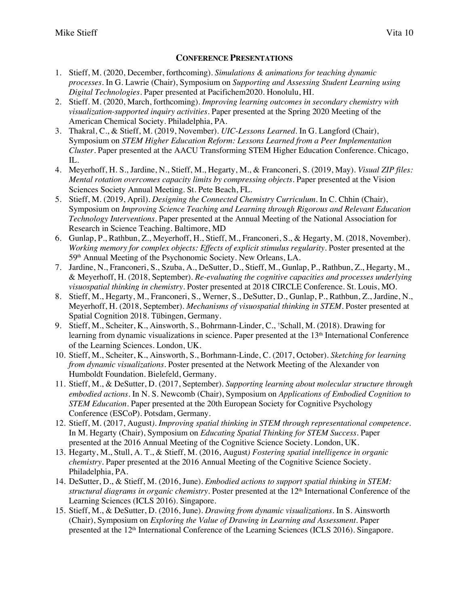## **CONFERENCE PRESENTATIONS**

- 1. Stieff, M. (2020, December, forthcoming). *Simulations & animations for teaching dynamic processes.* In G. Lawrie (Chair), Symposium on *Supporting and Assessing Student Learning using Digital Technologies*. Paper presented at Pacifichem2020. Honolulu, HI.
- 2. Stieff. M. (2020, March, forthcoming). *Improving learning outcomes in secondary chemistry with visualization-supported inquiry activities*. Paper presented at the Spring 2020 Meeting of the American Chemical Society. Philadelphia, PA.
- 3. Thakral, C., & Stieff, M. (2019, November). *UIC-Lessons Learned*. In G. Langford (Chair), Symposium on *STEM Higher Education Reform: Lessons Learned from a Peer Implementation Cluster*. Paper presented at the AACU Transforming STEM Higher Education Conference. Chicago, IL.
- 4. Meyerhoff, H. S., Jardine, N., Stieff, M., Hegarty, M., & Franconeri, S. (2019, May). *Visual ZIP files: Mental rotation overcomes capacity limits by compressing objects*. Paper presented at the Vision Sciences Society Annual Meeting. St. Pete Beach, FL.
- 5. Stieff, M. (2019, April). *Designing the Connected Chemistry Curriculum*. In C. Chhin (Chair), Symposium on *Improving Science Teaching and Learning through Rigorous and Relevant Education Technology Interventions.* Paper presented at the Annual Meeting of the National Association for Research in Science Teaching. Baltimore, MD
- 6. Gunlap, P., Rathbun, Z., Meyerhoff, H., Stieff, M., Franconeri, S., & Hegarty, M. (2018, November). *Working memory for complex objects: Effects of explicit stimulus regularity*. Poster presented at the 59th Annual Meeting of the Psychonomic Society. New Orleans, LA.
- 7. Jardine, N., Franconeri, S., Szuba, A., DeSutter, D., Stieff, M., Gunlap, P., Rathbun, Z., Hegarty, M., & Meyerhoff, H. (2018, September). *Re-evaluating the cognitive capacities and processes underlying visuospatial thinking in chemistry*. Poster presented at 2018 CIRCLE Conference. St. Louis, MO.
- 8. Stieff, M., Hegarty, M., Franconeri, S., Werner, S., DeSutter, D., Gunlap, P., Rathbun, Z., Jardine, N., Meyerhoff, H. (2018, September). *Mechanisms of visuospatial thinking in STEM*. Poster presented at Spatial Cognition 2018. Tübingen, Germany.
- 9. Stieff, M., Scheiter, K., Ainsworth, S., Bohrmann-Linder, C., † Schall, M. (2018). Drawing for learning from dynamic visualizations in science. Paper presented at the 13<sup>th</sup> International Conference of the Learning Sciences. London, UK.
- 10. Stieff, M., Scheiter, K., Ainsworth, S., Borhmann-Linde, C. (2017, October). *Sketching for learning from dynamic visualizations.* Poster presented at the Network Meeting of the Alexander von Humboldt Foundation. Bielefeld, Germany.
- 11. Stieff, M., & DeSutter, D. (2017, September). *Supporting learning about molecular structure through embodied actions*. In N. S. Newcomb (Chair), Symposium on *Applications of Embodied Cognition to STEM Education.* Paper presented at the 20th European Society for Cognitive Psychology Conference (ESCoP). Potsdam, Germany.
- 12. Stieff, M. (2017, August*). Improving spatial thinking in STEM through representational competence*. In M. Hegarty (Chair), Symposium on *Educating Spatial Thinking for STEM Success*. Paper presented at the 2016 Annual Meeting of the Cognitive Science Society. London, UK.
- 13. Hegarty, M., Stull, A. T., & Stieff, M. (2016, August*) Fostering spatial intelligence in organic chemistry*. Paper presented at the 2016 Annual Meeting of the Cognitive Science Society. Philadelphia, PA.
- 14. DeSutter, D., & Stieff, M. (2016, June). *Embodied actions to support spatial thinking in STEM: structural diagrams in organic chemistry*. Poster presented at the 12<sup>th</sup> International Conference of the Learning Sciences (ICLS 2016). Singapore.
- 15. Stieff, M., & DeSutter, D. (2016, June). *Drawing from dynamic visualizations*. In S. Ainsworth (Chair), Symposium on *Exploring the Value of Drawing in Learning and Assessment*. Paper presented at the 12th International Conference of the Learning Sciences (ICLS 2016). Singapore.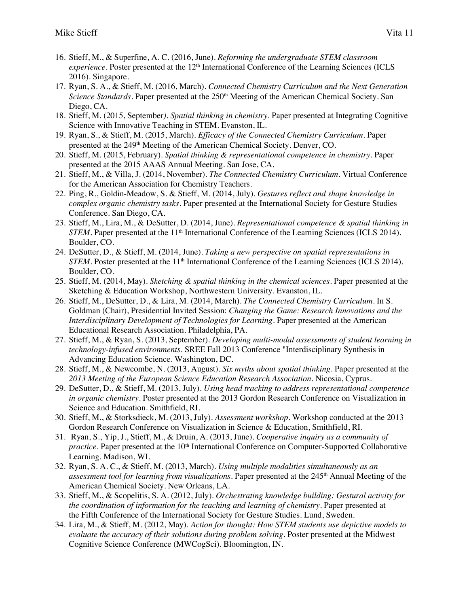- 16. Stieff, M., & Superfine, A. C. (2016, June). *Reforming the undergraduate STEM classroom experience*. Poster presented at the 12<sup>th</sup> International Conference of the Learning Sciences (ICLS 2016). Singapore.
- 17. Ryan, S. A., & Stieff, M. (2016, March). *Connected Chemistry Curriculum and the Next Generation Science Standards*. Paper presented at the 250<sup>th</sup> Meeting of the American Chemical Society. San Diego, CA.
- 18. Stieff, M. (2015, September*). Spatial thinking in chemistry*. Paper presented at Integrating Cognitive Science with Innovative Teaching in STEM. Evanston, IL.
- 19. Ryan, S., & Stieff, M. (2015, March). *Efficacy of the Connected Chemistry Curriculum*. Paper presented at the 249<sup>th</sup> Meeting of the American Chemical Society. Denver, CO.
- 20. Stieff, M. (2015, February). *Spatial thinking & representational competence in chemistry.* Paper presented at the 2015 AAAS Annual Meeting. San Jose, CA.
- 21. Stieff, M., & Villa, J. (2014, November). *The Connected Chemistry Curriculum*. Virtual Conference for the American Association for Chemistry Teachers.
- 22. Ping, R., Goldin-Meadow, S. & Stieff, M. (2014, July). *Gestures reflect and shape knowledge in complex organic chemistry tasks.* Paper presented at the International Society for Gesture Studies Conference. San Diego, CA.
- 23. Stieff, M., Lira, M., & DeSutter, D. (2014, June). *Representational competence & spatial thinking in STEM.* Paper presented at the 11<sup>th</sup> International Conference of the Learning Sciences (ICLS 2014). Boulder, CO.
- 24. DeSutter, D., & Stieff, M. (2014, June). *Taking a new perspective on spatial representations in STEM*. Poster presented at the 11<sup>th</sup> International Conference of the Learning Sciences (ICLS 2014). Boulder, CO.
- 25. Stieff, M. (2014, May). *Sketching & spatial thinking in the chemical sciences*. Paper presented at the Sketching & Education Workshop, Northwestern University. Evanston, IL.
- 26. Stieff, M., DeSutter, D., & Lira, M. (2014, March). *The Connected Chemistry Curriculum.* In S. Goldman (Chair), Presidential Invited Session: *Changing the Game: Research Innovations and the Interdisciplinary Development of Technologies for Learning*. Paper presented at the American Educational Research Association. Philadelphia, PA.
- 27. Stieff, M., & Ryan, S. (2013, September). *Developing multi-modal assessments of student learning in technology-infused environments*. SREE Fall 2013 Conference "Interdisciplinary Synthesis in Advancing Education Science. Washington, DC.
- 28. Stieff, M., & Newcombe, N. (2013, August). *Six myths about spatial thinking*. Paper presented at the *2013 Meeting of the European Science Education Research Association*. Nicosia, Cyprus.
- 29. DeSutter, D., & Stieff, M. (2013, July). *Using head tracking to address representational competence in organic chemistry.* Poster presented at the 2013 Gordon Research Conference on Visualization in Science and Education. Smithfield, RI.
- 30. Stieff, M., & Storksdieck, M. (2013, July). *Assessment workshop*. Workshop conducted at the 2013 Gordon Research Conference on Visualization in Science & Education, Smithfield, RI.
- 31. Ryan, S., Yip, J., Stieff, M., & Druin, A. (2013, June). *Cooperative inquiry as a community of practice.* Paper presented at the 10<sup>th</sup> International Conference on Computer-Supported Collaborative Learning. Madison, WI.
- 32. Ryan, S. A. C., & Stieff, M. (2013, March). *Using multiple modalities simultaneously as an*  assessment tool for learning from visualizations. Paper presented at the 245<sup>th</sup> Annual Meeting of the American Chemical Society. New Orleans, LA.
- 33. Stieff, M., & Scopelitis, S. A. (2012, July). *Orchestrating knowledge building: Gestural activity for the coordination of information for the teaching and learning of chemistry*. Paper presented at the Fifth Conference of the International Society for Gesture Studies. Lund, Sweden.
- 34. Lira, M., & Stieff, M. (2012, May). *Action for thought: How STEM students use depictive models to evaluate the accuracy of their solutions during problem solving*. Poster presented at the Midwest Cognitive Science Conference (MWCogSci). Bloomington, IN.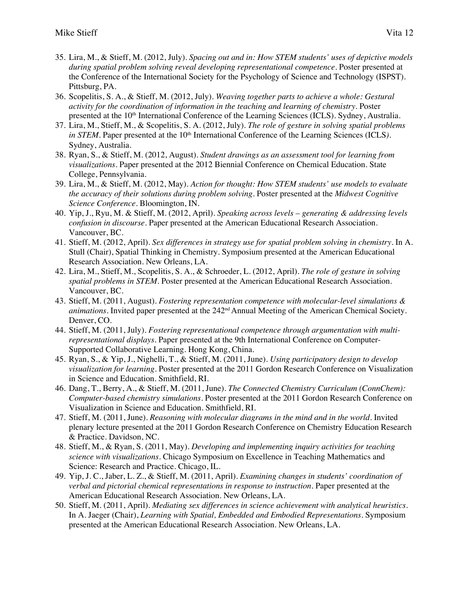- 35. Lira, M., & Stieff, M. (2012, July). *Spacing out and in: How STEM students' uses of depictive models during spatial problem solving reveal developing representational competence*. Poster presented at the Conference of the International Society for the Psychology of Science and Technology (ISPST). Pittsburg, PA.
- 36. Scopelitis, S. A., & Stieff, M. (2012, July). *Weaving together parts to achieve a whole: Gestural activity for the coordination of information in the teaching and learning of chemistry*. Poster presented at the 10th International Conference of the Learning Sciences (ICLS). Sydney, Australia.
- 37. Lira, M., Stieff, M., & Scopelitis, S. A. (2012, July). *The role of gesture in solving spatial problems in STEM*. Paper presented at the 10<sup>th</sup> International Conference of the Learning Sciences (ICLS). Sydney, Australia.
- 38. Ryan, S., & Stieff, M. (2012, August). *Student drawings as an assessment tool for learning from visualizations.* Paper presented at the 2012 Biennial Conference on Chemical Education. State College, Pennsylvania.
- 39. Lira, M., & Stieff, M. (2012, May). *Action for thought: How STEM students' use models to evaluate the accuracy of their solutions during problem solving*. Poster presented at the *Midwest Cognitive Science Conference*. Bloomington, IN.
- 40. Yip, J., Ryu, M. & Stieff, M. (2012, April). *Speaking across levels – generating & addressing levels confusion in discourse*. Paper presented at the American Educational Research Association. Vancouver, BC.
- 41. Stieff, M. (2012, April). *Sex differences in strategy use for spatial problem solving in chemistry.* In A. Stull (Chair), Spatial Thinking in Chemistry. Symposium presented at the American Educational Research Association. New Orleans, LA.
- 42. Lira, M., Stieff, M., Scopelitis, S. A., & Schroeder, L. (2012, April). *The role of gesture in solving spatial problems in STEM*. Poster presented at the American Educational Research Association. Vancouver, BC.
- 43. Stieff, M. (2011, August). *Fostering representation competence with molecular-level simulations & animations*. Invited paper presented at the 242<sup>nd</sup> Annual Meeting of the American Chemical Society. Denver, CO.
- 44. Stieff, M. (2011, July). *Fostering representational competence through argumentation with multirepresentational displays*. Paper presented at the 9th International Conference on Computer-Supported Collaborative Learning. Hong Kong, China.
- 45. Ryan, S., & Yip, J., Nighelli, T., & Stieff, M. (2011, June). *Using participatory design to develop visualization for learning*. Poster presented at the 2011 Gordon Research Conference on Visualization in Science and Education. Smithfield, RI.
- 46. Dang, T., Berry, A., & Stieff, M. (2011, June). *The Connected Chemistry Curriculum (ConnChem): Computer-based chemistry simulations*. Poster presented at the 2011 Gordon Research Conference on Visualization in Science and Education. Smithfield, RI.
- 47. Stieff, M. (2011, June). *Reasoning with molecular diagrams in the mind and in the world*. Invited plenary lecture presented at the 2011 Gordon Research Conference on Chemistry Education Research & Practice. Davidson, NC.
- 48. Stieff, M., & Ryan, S. (2011, May). *Developing and implementing inquiry activities for teaching science with visualizations*. Chicago Symposium on Excellence in Teaching Mathematics and Science: Research and Practice. Chicago, IL.
- 49. Yip, J. C., Jaber, L. Z., & Stieff, M. (2011, April). *Examining changes in students' coordination of verbal and pictorial chemical representations in response to instruction*. Paper presented at the American Educational Research Association. New Orleans, LA.
- 50. Stieff, M. (2011, April). *Mediating sex differences in science achievement with analytical heuristics*. In A. Jaeger (Chair), *Learning with Spatial, Embedded and Embodied Representations*. Symposium presented at the American Educational Research Association. New Orleans, LA.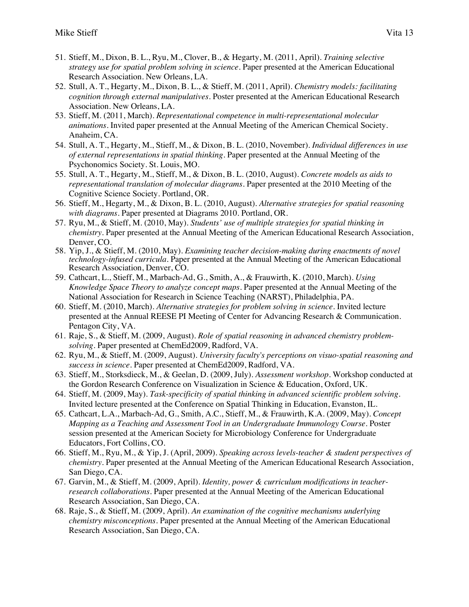- 51. Stieff, M., Dixon, B. L., Ryu, M., Clover, B., & Hegarty, M. (2011, April). *Training selective strategy use for spatial problem solving in science*. Paper presented at the American Educational Research Association. New Orleans, LA.
- 52. Stull, A. T., Hegarty, M., Dixon, B. L., & Stieff, M. (2011, April). *Chemistry models: facilitating cognition through external manipulatives*. Poster presented at the American Educational Research Association. New Orleans, LA.
- 53. Stieff, M. (2011, March). *Representational competence in multi-representational molecular animations*. Invited paper presented at the Annual Meeting of the American Chemical Society. Anaheim, CA.
- 54. Stull, A. T., Hegarty, M., Stieff, M., & Dixon, B. L. (2010, November). *Individual differences in use of external representations in spatial thinking*. Paper presented at the Annual Meeting of the Psychonomics Society. St. Louis, MO.
- 55. Stull, A. T., Hegarty, M., Stieff, M., & Dixon, B. L. (2010, August). *Concrete models as aids to representational translation of molecular diagrams*. Paper presented at the 2010 Meeting of the Cognitive Science Society. Portland, OR.
- 56. Stieff, M., Hegarty, M., & Dixon, B. L. (2010, August). *Alternative strategies for spatial reasoning with diagrams*. Paper presented at Diagrams 2010. Portland, OR.
- 57. Ryu, M., & Stieff, M. (2010, May). *Students' use of multiple strategies for spatial thinking in chemistry.* Paper presented at the Annual Meeting of the American Educational Research Association, Denver, CO.
- 58. Yip, J., & Stieff, M. (2010, May). *Examining teacher decision-making during enactments of novel technology-infused curricula*. Paper presented at the Annual Meeting of the American Educational Research Association, Denver, CO.
- 59. Cathcart, L., Stieff, M., Marbach-Ad, G., Smith, A., & Frauwirth, K. (2010, March). *Using Knowledge Space Theory to analyze concept maps*. Paper presented at the Annual Meeting of the National Association for Research in Science Teaching (NARST), Philadelphia, PA.
- 60. Stieff, M. (2010, March). *Alternative strategies for problem solving in science*. Invited lecture presented at the Annual REESE PI Meeting of Center for Advancing Research & Communication. Pentagon City, VA.
- 61. Raje, S., & Stieff, M. (2009, August). *Role of spatial reasoning in advanced chemistry problemsolving*. Paper presented at ChemEd2009, Radford, VA.
- 62. Ryu, M., & Stieff, M. (2009, August). *University faculty's perceptions on visuo-spatial reasoning and success in science*. Paper presented at ChemEd2009, Radford, VA.
- 63. Stieff, M., Storksdieck, M., & Geelan, D. (2009, July). *Assessment workshop*. Workshop conducted at the Gordon Research Conference on Visualization in Science & Education, Oxford, UK.
- 64. Stieff, M. (2009, May). *Task-specificity of spatial thinking in advanced scientific problem solving*. Invited lecture presented at the Conference on Spatial Thinking in Education, Evanston, IL.
- 65. Cathcart, L.A., Marbach-Ad, G., Smith, A.C., Stieff, M., & Frauwirth, K.A. (2009, May). *Concept Mapping as a Teaching and Assessment Tool in an Undergraduate Immunology Course.* Poster session presented at the American Society for Microbiology Conference for Undergraduate Educators, Fort Collins, CO.
- 66. Stieff, M., Ryu, M., & Yip, J. (April, 2009). *Speaking across levels-teacher & student perspectives of chemistry*. Paper presented at the Annual Meeting of the American Educational Research Association, San Diego, CA.
- 67. Garvin, M., & Stieff, M. (2009, April). *Identity, power & curriculum modifications in teacherresearch collaborations*. Paper presented at the Annual Meeting of the American Educational Research Association, San Diego, CA.
- 68. Raje, S., & Stieff, M. (2009, April). *An examination of the cognitive mechanisms underlying chemistry misconceptions*. Paper presented at the Annual Meeting of the American Educational Research Association, San Diego, CA.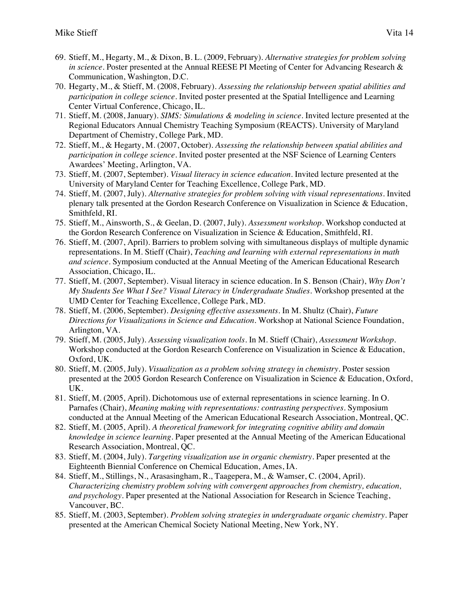- 69. Stieff, M., Hegarty, M., & Dixon, B. L. (2009, February). *Alternative strategies for problem solving in science*. Poster presented at the Annual REESE PI Meeting of Center for Advancing Research & Communication, Washington, D.C.
- 70. Hegarty, M., & Stieff, M. (2008, February). *Assessing the relationship between spatial abilities and participation in college science*. Invited poster presented at the Spatial Intelligence and Learning Center Virtual Conference, Chicago, IL.
- 71. Stieff, M. (2008, January). *SIMS: Simulations & modeling in science*. Invited lecture presented at the Regional Educators Annual Chemistry Teaching Symposium (REACTS). University of Maryland Department of Chemistry, College Park, MD.
- 72. Stieff, M., & Hegarty, M. (2007, October). *Assessing the relationship between spatial abilities and participation in college science*. Invited poster presented at the NSF Science of Learning Centers Awardees' Meeting, Arlington, VA.
- 73. Stieff, M. (2007, September). *Visual literacy in science education*. Invited lecture presented at the University of Maryland Center for Teaching Excellence, College Park, MD.
- 74. Stieff, M. (2007, July). *Alternative strategies for problem solving with visual representations*. Invited plenary talk presented at the Gordon Research Conference on Visualization in Science & Education, Smithfeld, RI.
- 75. Stieff, M., Ainsworth, S., & Geelan, D. (2007, July). *Assessment workshop*. Workshop conducted at the Gordon Research Conference on Visualization in Science & Education, Smithfeld, RI.
- 76. Stieff, M. (2007, April). Barriers to problem solving with simultaneous displays of multiple dynamic representations. In M. Stieff (Chair), *Teaching and learning with external representations in math and science*. Symposium conducted at the Annual Meeting of the American Educational Research Association, Chicago, IL.
- 77. Stieff, M. (2007, September). Visual literacy in science education. In S. Benson (Chair), *Why Don't My Students See What I See? Visual Literacy in Undergraduate Studies*. Workshop presented at the UMD Center for Teaching Excellence, College Park, MD.
- 78. Stieff, M. (2006, September). *Designing effective assessments*. In M. Shultz (Chair), *Future Directions for Visualizations in Science and Education*. Workshop at National Science Foundation, Arlington, VA.
- 79. Stieff, M. (2005, July). *Assessing visualization tools*. In M. Stieff (Chair), *Assessment Workshop*. Workshop conducted at the Gordon Research Conference on Visualization in Science & Education, Oxford, UK.
- 80. Stieff, M. (2005, July). *Visualization as a problem solving strategy in chemistry*. Poster session presented at the 2005 Gordon Research Conference on Visualization in Science & Education, Oxford, UK.
- 81. Stieff, M. (2005, April). Dichotomous use of external representations in science learning. In O. Parnafes (Chair), *Meaning making with representations: contrasting perspectives*. Symposium conducted at the Annual Meeting of the American Educational Research Association, Montreal, QC.
- 82. Stieff, M. (2005, April). *A theoretical framework for integrating cognitive ability and domain knowledge in science learning*. Paper presented at the Annual Meeting of the American Educational Research Association, Montreal, QC.
- 83. Stieff, M. (2004, July). *Targeting visualization use in organic chemistry*. Paper presented at the Eighteenth Biennial Conference on Chemical Education, Ames, IA.
- 84. Stieff, M., Stillings, N., Arasasingham, R., Taagepera, M., & Wamser, C. (2004, April). *Characterizing chemistry problem solving with convergent approaches from chemistry, education, and psychology*. Paper presented at the National Association for Research in Science Teaching, Vancouver, BC.
- 85. Stieff, M. (2003, September). *Problem solving strategies in undergraduate organic chemistry*. Paper presented at the American Chemical Society National Meeting, New York, NY.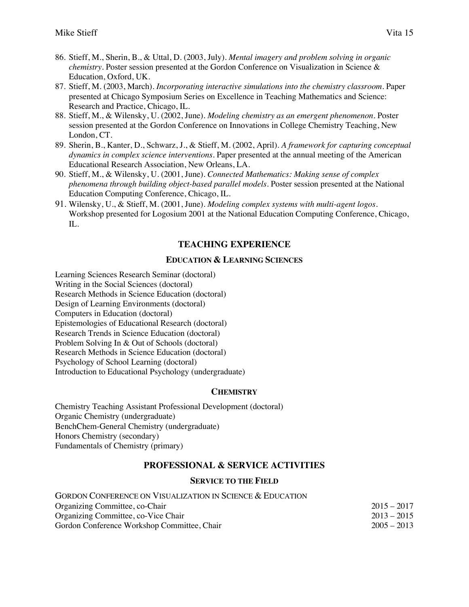- 86. Stieff, M., Sherin, B., & Uttal, D. (2003, July). *Mental imagery and problem solving in organic chemistry*. Poster session presented at the Gordon Conference on Visualization in Science & Education, Oxford, UK.
- 87. Stieff, M. (2003, March). *Incorporating interactive simulations into the chemistry classroom*. Paper presented at Chicago Symposium Series on Excellence in Teaching Mathematics and Science: Research and Practice, Chicago, IL.
- 88. Stieff, M., & Wilensky, U. (2002, June). *Modeling chemistry as an emergent phenomenon*. Poster session presented at the Gordon Conference on Innovations in College Chemistry Teaching, New London, CT.
- 89. Sherin, B., Kanter, D., Schwarz, J., & Stieff, M. (2002, April). *A framework for capturing conceptual dynamics in complex science interventions*. Paper presented at the annual meeting of the American Educational Research Association, New Orleans, LA.
- 90. Stieff, M., & Wilensky, U. (2001, June). *Connected Mathematics: Making sense of complex phenomena through building object-based parallel models*. Poster session presented at the National Education Computing Conference, Chicago, IL.
- 91. Wilensky, U., & Stieff, M. (2001, June). *Modeling complex systems with multi-agent logos*. Workshop presented for Logosium 2001 at the National Education Computing Conference, Chicago, IL.

# **TEACHING EXPERIENCE**

#### **EDUCATION & LEARNING SCIENCES**

Learning Sciences Research Seminar (doctoral) Writing in the Social Sciences (doctoral) Research Methods in Science Education (doctoral) Design of Learning Environments (doctoral) Computers in Education (doctoral) Epistemologies of Educational Research (doctoral) Research Trends in Science Education (doctoral) Problem Solving In & Out of Schools (doctoral) Research Methods in Science Education (doctoral) Psychology of School Learning (doctoral) Introduction to Educational Psychology (undergraduate)

#### **CHEMISTRY**

Chemistry Teaching Assistant Professional Development (doctoral) Organic Chemistry (undergraduate) BenchChem-General Chemistry (undergraduate) Honors Chemistry (secondary) Fundamentals of Chemistry (primary)

## **PROFESSIONAL & SERVICE ACTIVITIES**

## **SERVICE TO THE FIELD**

| GORDON CONFERENCE ON VISUALIZATION IN SCIENCE & EDUCATION |               |
|-----------------------------------------------------------|---------------|
| Organizing Committee, co-Chair                            | $2015 - 2017$ |
| Organizing Committee, co-Vice Chair                       | $2013 - 2015$ |
| Gordon Conference Workshop Committee, Chair               | $2005 - 2013$ |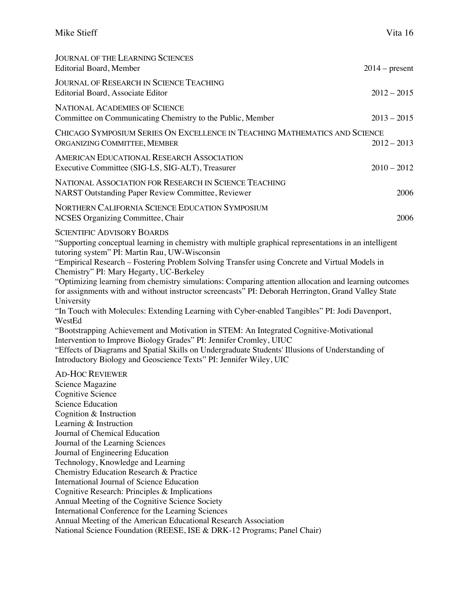| <b>JOURNAL OF THE LEARNING SCIENCES</b><br><b>Editorial Board, Member</b>                                                                                                                                                                                                                                                                                                                                                                                                                                                                                                                                                                                                                                                                                                                                                                                                                                                                                                                                                      | $2014$ – present |
|--------------------------------------------------------------------------------------------------------------------------------------------------------------------------------------------------------------------------------------------------------------------------------------------------------------------------------------------------------------------------------------------------------------------------------------------------------------------------------------------------------------------------------------------------------------------------------------------------------------------------------------------------------------------------------------------------------------------------------------------------------------------------------------------------------------------------------------------------------------------------------------------------------------------------------------------------------------------------------------------------------------------------------|------------------|
| <b>JOURNAL OF RESEARCH IN SCIENCE TEACHING</b><br>Editorial Board, Associate Editor                                                                                                                                                                                                                                                                                                                                                                                                                                                                                                                                                                                                                                                                                                                                                                                                                                                                                                                                            | $2012 - 2015$    |
| <b>NATIONAL ACADEMIES OF SCIENCE</b><br>Committee on Communicating Chemistry to the Public, Member                                                                                                                                                                                                                                                                                                                                                                                                                                                                                                                                                                                                                                                                                                                                                                                                                                                                                                                             | $2013 - 2015$    |
| CHICAGO SYMPOSIUM SERIES ON EXCELLENCE IN TEACHING MATHEMATICS AND SCIENCE<br>ORGANIZING COMMITTEE, MEMBER                                                                                                                                                                                                                                                                                                                                                                                                                                                                                                                                                                                                                                                                                                                                                                                                                                                                                                                     | $2012 - 2013$    |
| <b>AMERICAN EDUCATIONAL RESEARCH ASSOCIATION</b><br>Executive Committee (SIG-LS, SIG-ALT), Treasurer                                                                                                                                                                                                                                                                                                                                                                                                                                                                                                                                                                                                                                                                                                                                                                                                                                                                                                                           | $2010 - 2012$    |
| NATIONAL ASSOCIATION FOR RESEARCH IN SCIENCE TEACHING<br>NARST Outstanding Paper Review Committee, Reviewer                                                                                                                                                                                                                                                                                                                                                                                                                                                                                                                                                                                                                                                                                                                                                                                                                                                                                                                    | 2006             |
| NORTHERN CALIFORNIA SCIENCE EDUCATION SYMPOSIUM<br>NCSES Organizing Committee, Chair                                                                                                                                                                                                                                                                                                                                                                                                                                                                                                                                                                                                                                                                                                                                                                                                                                                                                                                                           | 2006             |
| <b>SCIENTIFIC ADVISORY BOARDS</b><br>"Supporting conceptual learning in chemistry with multiple graphical representations in an intelligent<br>tutoring system" PI: Martin Rau, UW-Wisconsin<br>"Empirical Research – Fostering Problem Solving Transfer using Concrete and Virtual Models in<br>Chemistry" PI: Mary Hegarty, UC-Berkeley<br>"Optimizing learning from chemistry simulations: Comparing attention allocation and learning outcomes<br>for assignments with and without instructor screencasts" PI: Deborah Herrington, Grand Valley State<br>University<br>"In Touch with Molecules: Extending Learning with Cyber-enabled Tangibles" PI: Jodi Davenport,<br>WestEd<br>"Bootstrapping Achievement and Motivation in STEM: An Integrated Cognitive-Motivational<br>Intervention to Improve Biology Grades" PI: Jennifer Cromley, UIUC<br>"Effects of Diagrams and Spatial Skills on Undergraduate Students' Illusions of Understanding of<br>Introductory Biology and Geoscience Texts" PI: Jennifer Wiley, UIC |                  |
| <b>AD-HOC REVIEWER</b><br>Science Magazine<br><b>Cognitive Science</b><br>Science Education<br>Cognition & Instruction<br>Learning & Instruction<br>Journal of Chemical Education<br>Journal of the Learning Sciences<br>Journal of Engineering Education<br>Technology, Knowledge and Learning<br>Chemistry Education Research & Practice<br>International Journal of Science Education<br>Cognitive Research: Principles & Implications                                                                                                                                                                                                                                                                                                                                                                                                                                                                                                                                                                                      |                  |

Annual Meeting of the Cognitive Science Society

International Conference for the Learning Sciences

Annual Meeting of the American Educational Research Association

National Science Foundation (REESE, ISE & DRK-12 Programs; Panel Chair)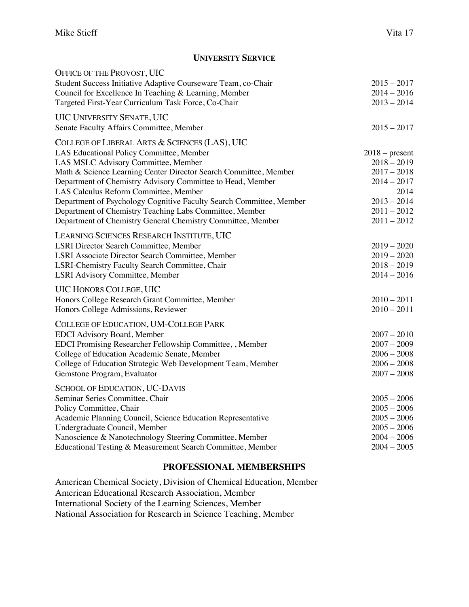#### **UNIVERSITY SERVICE**

| OFFICE OF THE PROVOST, UIC                                          |                  |
|---------------------------------------------------------------------|------------------|
| Student Success Initiative Adaptive Courseware Team, co-Chair       | $2015 - 2017$    |
| Council for Excellence In Teaching & Learning, Member               | $2014 - 2016$    |
| Targeted First-Year Curriculum Task Force, Co-Chair                 | $2013 - 2014$    |
| <b>UIC UNIVERSITY SENATE, UIC</b>                                   |                  |
| Senate Faculty Affairs Committee, Member                            | $2015 - 2017$    |
| COLLEGE OF LIBERAL ARTS & SCIENCES (LAS), UIC                       |                  |
| LAS Educational Policy Committee, Member                            | $2018$ – present |
| LAS MSLC Advisory Committee, Member                                 | $2018 - 2019$    |
| Math & Science Learning Center Director Search Committee, Member    | $2017 - 2018$    |
| Department of Chemistry Advisory Committee to Head, Member          | $2014 - 2017$    |
| LAS Calculus Reform Committee, Member                               | 2014             |
| Department of Psychology Cognitive Faculty Search Committee, Member | $2013 - 2014$    |
| Department of Chemistry Teaching Labs Committee, Member             | $2011 - 2012$    |
| Department of Chemistry General Chemistry Committee, Member         | $2011 - 2012$    |
| LEARNING SCIENCES RESEARCH INSTITUTE, UIC                           |                  |
| <b>LSRI Director Search Committee, Member</b>                       | $2019 - 2020$    |
| LSRI Associate Director Search Committee, Member                    | $2019 - 2020$    |
| LSRI-Chemistry Faculty Search Committee, Chair                      | $2018 - 2019$    |
| <b>LSRI</b> Advisory Committee, Member                              | $2014 - 2016$    |
| <b>UIC HONORS COLLEGE, UIC</b>                                      |                  |
| Honors College Research Grant Committee, Member                     | $2010 - 2011$    |
| Honors College Admissions, Reviewer                                 | $2010 - 2011$    |
| COLLEGE OF EDUCATION, UM-COLLEGE PARK                               |                  |
| <b>EDCI</b> Advisory Board, Member                                  | $2007 - 2010$    |
| EDCI Promising Researcher Fellowship Committee,, Member             | $2007 - 2009$    |
| College of Education Academic Senate, Member                        | $2006 - 2008$    |
| College of Education Strategic Web Development Team, Member         | $2006 - 2008$    |
| Gemstone Program, Evaluator                                         | $2007 - 2008$    |
| SCHOOL OF EDUCATION, UC-DAVIS                                       |                  |
| Seminar Series Committee, Chair                                     | $2005 - 2006$    |
| Policy Committee, Chair                                             | $2005 - 2006$    |
| Academic Planning Council, Science Education Representative         | $2005 - 2006$    |
| Undergraduate Council, Member                                       | $2005 - 2006$    |
| Nanoscience & Nanotechnology Steering Committee, Member             | $2004 - 2006$    |
| Educational Testing & Measurement Search Committee, Member          | $2004 - 2005$    |

## **PROFESSIONAL MEMBERSHIPS**

American Chemical Society, Division of Chemical Education, Member American Educational Research Association, Member International Society of the Learning Sciences, Member National Association for Research in Science Teaching, Member